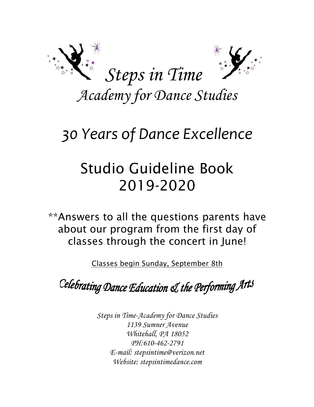

*Academy for Dance Studies*

# *30 Years of Dance Excellence*

# Studio Guideline Book 2019-2020

\*\*Answers to all the questions parents have about our program from the first day of classes through the concert in June!

Classes begin Sunday, September 8th

Celebrating Dance Education & the Performing Arts

*Steps in Time-Academy for Dance Studies 1139 Sumner Avenue Whitehall, PA 18052 PH:610-462-2791 E-mail: stepsintime@verizon.net Website: stepsintimedance.com*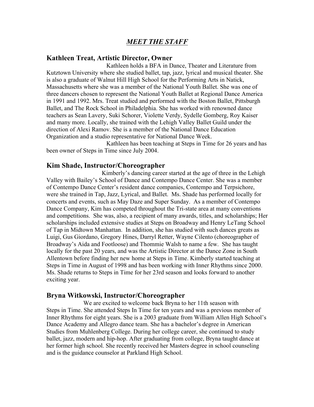# *MEET THE STAFF*

#### **Kathleen Treat, Artistic Director, Owner**

Kathleen holds a BFA in Dance, Theater and Literature from Kutztown University where she studied ballet, tap, jazz, lyrical and musical theater. She is also a graduate of Walnut Hill High School for the Performing Arts in Natick, Massachusetts where she was a member of the National Youth Ballet. She was one of three dancers chosen to represent the National Youth Ballet at Regional Dance America in 1991 and 1992. Mrs. Treat studied and performed with the Boston Ballet, Pittsburgh Ballet, and The Rock School in Philadelphia. She has worked with renowned dance teachers as Sean Lavery, Suki Schorer, Violette Verdy, Sydelle Gomberg, Roy Kaiser and many more. Locally, she trained with the Lehigh Valley Ballet Guild under the direction of Alexi Ramov. She is a member of the National Dance Education Organization and a studio representative for National Dance Week.

Kathleen has been teaching at Steps in Time for 26 years and has been owner of Steps in Time since July 2004.

#### **Kim Shade, Instructor/Choreographer**

Kimberly's dancing career started at the age of three in the Lehigh Valley with Bailey's School of Dance and Contempo Dance Center. She was a member of Contempo Dance Center's resident dance companies, Contempo and Terpsichore, were she trained in Tap, Jazz, Lyrical, and Ballet. Ms. Shade has performed locally for concerts and events, such as May Daze and Super Sunday. As a member of Contempo Dance Company, Kim has competed throughout the Tri-state area at many conventions and competitions. She was, also, a recipient of many awards, titles, and scholarships; Her scholarships included extensive studies at Steps on Broadway and Henry LeTang School of Tap in Midtown Manhattan. In addition, she has studied with such dances greats as Luigi, Gus Giordano, Gregory Hines, Darryl Retter, Wayne Cilento (choreographer of Broadway's Aida and Footloose) and Thommie Walsh to name a few. She has taught locally for the past 20 years, and was the Artistic Director at the Dance Zone in South Allentown before finding her new home at Steps in Time. Kimberly started teaching at Steps in Time in August of 1998 and has been working with Inner Rhythms since 2000. Ms. Shade returns to Steps in Time for her 23rd season and looks forward to another exciting year.

#### **Bryna Witkowski, Instructor/Choreographer**

We are excited to welcome back Bryna to her 11th season with Steps in Time. She attended Steps In Time for ten years and was a previous member of Inner Rhythms for eight years. She is a 2003 graduate from William Allen High School's Dance Academy and Allegro dance team. She has a bachelor's degree in American Studies from Muhlenberg College. During her college career, she continued to study ballet, jazz, modern and hip-hop. After graduating from college, Bryna taught dance at her former high school. She recently received her Masters degree in school counseling and is the guidance counselor at Parkland High School.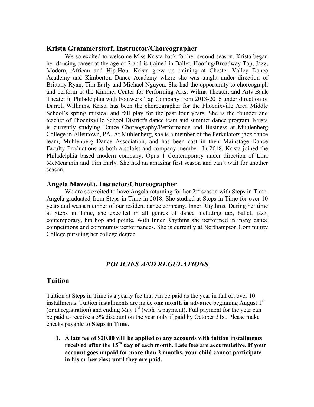## **Krista Grammerstorf, Instructor/Choreographer**

We so excited to welcome Miss Krista back for her second season. Krista began her dancing career at the age of 2 and is trained in Ballet, Hoofing/Broadway Tap, Jazz, Modern, African and Hip-Hop. Krista grew up training at Chester Valley Dance Academy and Kimberton Dance Academy where she was taught under direction of Brittany Ryan, Tim Early and Michael Nguyen. She had the opportunity to choreograph and perform at the Kimmel Center for Performing Arts, Wilma Theater, and Arts Bank Theater in Philadelphia with Footwerx Tap Company from 2013-2016 under direction of Darrell Williams. Krista has been the choreographer for the Phoenixville Area Middle School's spring musical and fall play for the past four years. She is the founder and teacher of Phoenixville School District's dance team and summer dance program. Krista is currently studying Dance Choreography/Performance and Business at Muhlenberg College in Allentown, PA. At Muhlenberg, she is a member of the Perkulators jazz dance team, Muhlenberg Dance Association, and has been cast in their Mainstage Dance Faculty Productions as both a soloist and company member. In 2018, Krista joined the Philadelphia based modern company, Opus 1 Contemporary under direction of Lina McMenamin and Tim Early. She had an amazing first season and can't wait for another season.

## **Angela Mazzola, Instuctor/Choreographer**

We are so excited to have Angela returning for her  $2<sup>nd</sup>$  season with Steps in Time. Angela graduated from Steps in Time in 2018. She studied at Steps in Time for over 10 years and was a member of our resident dance company, Inner Rhythms. During her time at Steps in Time, she excelled in all genres of dance including tap, ballet, jazz, contemporary, hip hop and pointe. With Inner Rhythms she performed in many dance competitions and community performances. She is currently at Northampton Community College pursuing her college degree.

# *POLICIES AND REGULATIONS*

## **Tuition**

Tuition at Steps in Time is a yearly fee that can be paid as the year in full or, over 10 installments. Tuition installments are made **one month in advance** beginning August 1<sup>st</sup> (or at registration) and ending May 1<sup>st</sup> (with  $\frac{1}{2}$  payment). Full payment for the year can be paid to receive a 5% discount on the year only if paid by October 31st. Please make checks payable to **Steps in Time**.

**1. A late fee of \$20.00 will be applied to any accounts with tuition installments received after the 15th day of each month. Late fees are accumulative. If your account goes unpaid for more than 2 months, your child cannot participate in his or her class until they are paid.**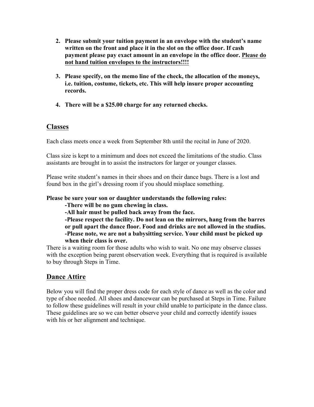- **2. Please submit your tuition payment in an envelope with the student's name written on the front and place it in the slot on the office door. If cash payment please pay exact amount in an envelope in the office door. Please do not hand tuition envelopes to the instructors!!!!**
- **3. Please specify, on the memo line of the check, the allocation of the moneys, i.e. tuition, costume, tickets, etc. This will help insure proper accounting records.**
- **4. There will be a \$25.00 charge for any returned checks.**

## **Classes**

Each class meets once a week from September 8th until the recital in June of 2020.

Class size is kept to a minimum and does not exceed the limitations of the studio. Class assistants are brought in to assist the instructors for larger or younger classes.

Please write student's names in their shoes and on their dance bags. There is a lost and found box in the girl's dressing room if you should misplace something.

### **Please be sure your son or daughter understands the following rules:**

**-There will be no gum chewing in class.**

**-All hair must be pulled back away from the face.**

**-Please respect the facility. Do not lean on the mirrors, hang from the barres or pull apart the dance floor. Food and drinks are not allowed in the studios. -Please note, we are not a babysitting service. Your child must be picked up when their class is over.** 

There is a waiting room for those adults who wish to wait. No one may observe classes with the exception being parent observation week. Everything that is required is available to buy through Steps in Time.

# **Dance Attire**

Below you will find the proper dress code for each style of dance as well as the color and type of shoe needed. All shoes and dancewear can be purchased at Steps in Time. Failure to follow these guidelines will result in your child unable to participate in the dance class. These guidelines are so we can better observe your child and correctly identify issues with his or her alignment and technique.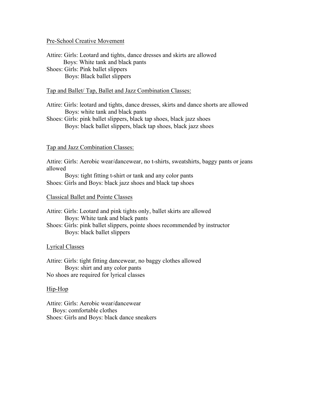#### Pre-School Creative Movement

Attire: Girls: Leotard and tights, dance dresses and skirts are allowed Boys: White tank and black pants Shoes: Girls: Pink ballet slippers

Boys: Black ballet slippers

#### Tap and Ballet/ Tap, Ballet and Jazz Combination Classes:

- Attire: Girls: leotard and tights, dance dresses, skirts and dance shorts are allowed Boys: white tank and black pants
- Shoes: Girls: pink ballet slippers, black tap shoes, black jazz shoes Boys: black ballet slippers, black tap shoes, black jazz shoes

#### Tap and Jazz Combination Classes:

Attire: Girls: Aerobic wear/dancewear, no t-shirts, sweatshirts, baggy pants or jeans allowed

 Boys: tight fitting t-shirt or tank and any color pants Shoes: Girls and Boys: black jazz shoes and black tap shoes

#### Classical Ballet and Pointe Classes

- Attire: Girls: Leotard and pink tights only, ballet skirts are allowed Boys: White tank and black pants
- Shoes: Girls: pink ballet slippers, pointe shoes recommended by instructor Boys: black ballet slippers

#### Lyrical Classes

Attire: Girls: tight fitting dancewear, no baggy clothes allowed Boys: shirt and any color pants No shoes are required for lyrical classes

#### Hip-Hop

Attire: Girls: Aerobic wear/dancewear Boys: comfortable clothes Shoes: Girls and Boys: black dance sneakers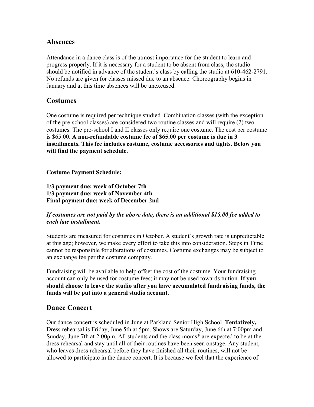## **Absences**

Attendance in a dance class is of the utmost importance for the student to learn and progress properly. If it is necessary for a student to be absent from class, the studio should be notified in advance of the student's class by calling the studio at 610-462-2791. No refunds are given for classes missed due to an absence. Choreography begins in January and at this time absences will be unexcused.

## **Costumes**

One costume is required per technique studied. Combination classes (with the exception of the pre-school classes) are considered two routine classes and will require (2) two costumes. The pre-school I and II classes only require one costume. The cost per costume is \$65.00. **A non-refundable costume fee of \$65.00 per costume is due in 3 installments. This fee includes costume, costume accessories and tights. Below you will find the payment schedule.** 

**Costume Payment Schedule:**

**1/3 payment due: week of October 7th 1/3 payment due: week of November 4th Final payment due: week of December 2nd**

## *If costumes are not paid by the above date, there is an additional \$15.00 fee added to each late installment.*

Students are measured for costumes in October. A student's growth rate is unpredictable at this age; however, we make every effort to take this into consideration. Steps in Time cannot be responsible for alterations of costumes. Costume exchanges may be subject to an exchange fee per the costume company.

Fundraising will be available to help offset the cost of the costume. Your fundraising account can only be used for costume fees; it may not be used towards tuition. **If you should choose to leave the studio after you have accumulated fundraising funds, the funds will be put into a general studio account.**

# **Dance Concert**

Our dance concert is scheduled in June at Parkland Senior High School. **Tentatively,**  Dress rehearsal is Friday, June 5th at 5pm. Shows are Saturday, June 6th at 7:00pm and Sunday, June 7th at 2:00pm. All students and the class moms\* are expected to be at the dress rehearsal and stay until all of their routines have been seen onstage. Any student, who leaves dress rehearsal before they have finished all their routines, will not be allowed to participate in the dance concert. It is because we feel that the experience of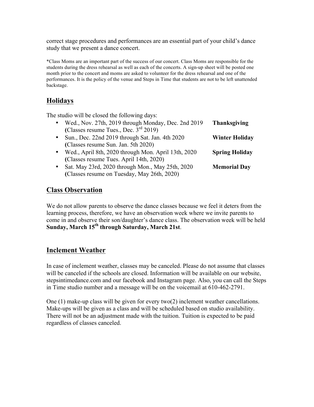correct stage procedures and performances are an essential part of your child's dance study that we present a dance concert.

\*Class Moms are an important part of the success of our concert. Class Moms are responsible for the students during the dress rehearsal as well as each of the concerts. A sign-up sheet will be posted one month prior to the concert and moms are asked to volunteer for the dress rehearsal and one of the performances. It is the policy of the venue and Steps in Time that students are not to be left unattended backstage.

## **Holidays**

The studio will be closed the following days:

| $\bullet$ | Wed., Nov. 27th, 2019 through Monday, Dec. 2nd 2019 | <b>Thanksgiving</b>   |
|-----------|-----------------------------------------------------|-----------------------|
|           | (Classes resume Tues., Dec. 3rd 2019)               |                       |
| $\bullet$ | Sun., Dec. 22nd 2019 through Sat. Jan. 4th 2020     | <b>Winter Holiday</b> |
|           | (Classes resume Sun. Jan. 5th 2020)                 |                       |
| $\bullet$ | Wed., April 8th, 2020 through Mon. April 13th, 2020 | <b>Spring Holiday</b> |
|           | (Classes resume Tues. April 14th, 2020)             |                       |
| $\bullet$ | Sat. May 23rd, 2020 through Mon., May 25th, 2020    | <b>Memorial Day</b>   |
|           | (Classes resume on Tuesday, May 26th, 2020)         |                       |

## **Class Observation**

We do not allow parents to observe the dance classes because we feel it deters from the learning process, therefore, we have an observation week where we invite parents to come in and observe their son/daughter's dance class. The observation week will be held **Sunday, March 15th through Saturday, March 21st**.

## **Inclement Weather**

In case of inclement weather, classes may be canceled. Please do not assume that classes will be canceled if the schools are closed. Information will be available on our website, stepsintimedance.com and our facebook and Instagram page. Also, you can call the Steps in Time studio number and a message will be on the voicemail at 610-462-2791.

One (1) make-up class will be given for every two(2) inclement weather cancellations. Make-ups will be given as a class and will be scheduled based on studio availability. There will not be an adjustment made with the tuition. Tuition is expected to be paid regardless of classes canceled.